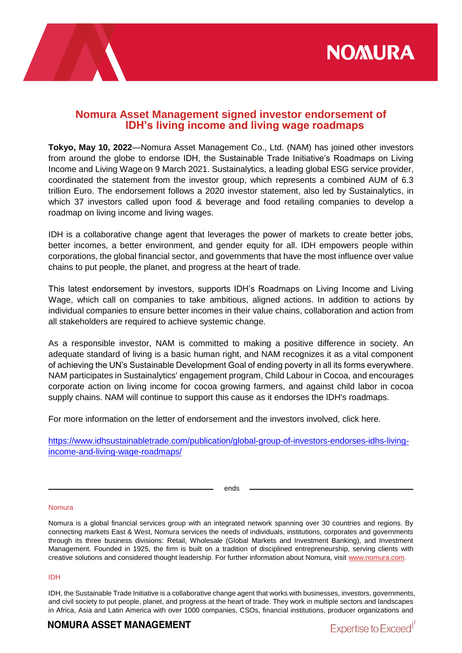



# **Nomura Asset Management signed investor endorsement of IDH's living income and living wage roadmaps**

**Tokyo, May 10, 2022**—Nomura Asset Management Co., Ltd. (NAM) has joined other investors from around the globe to endorse IDH, the Sustainable Trade Initiative's Roadmaps on Living Income and Living Wageon 9 March 2021. Sustainalytics, a leading global ESG service provider, coordinated the statement from the investor group, which represents a combined AUM of 6.3 trillion Euro. The endorsement follows a 2020 investor statement, also led by Sustainalytics, in which 37 investors called upon food & beverage and food retailing companies to develop a roadmap on living income and living wages.

IDH is a collaborative change agent that leverages the power of markets to create better jobs, better incomes, a better environment, and gender equity for all. IDH empowers people within corporations, the global financial sector, and governments that have the most influence over value chains to put people, the planet, and progress at the heart of trade.

This latest endorsement by investors, supports IDH's Roadmaps on Living Income and Living Wage, which call on companies to take ambitious, aligned actions. In addition to actions by individual companies to ensure better incomes in their value chains, collaboration and action from all stakeholders are required to achieve systemic change.

As a responsible investor, NAM is committed to making a positive difference in society. An adequate standard of living is a basic human right, and NAM recognizes it as a vital component of achieving the UN's Sustainable Development Goal of ending poverty in all its forms everywhere. NAM participates in Sustainalytics' engagement program, Child Labour in Cocoa, and encourages corporate action on living income for cocoa growing farmers, and against child labor in cocoa supply chains. NAM will continue to support this cause as it endorses the IDH's roadmaps.

For more information on the letter of endorsement and the investors involved, click here.

[https://www.idhsustainabletrade.com/publication/global-group-of-investors-endorses-idhs-living](https://www.idhsustainabletrade.com/publication/global-group-of-investors-endorses-idhs-living-income-and-living-wage-roadmaps/)[income-and-living-wage-roadmaps/](https://www.idhsustainabletrade.com/publication/global-group-of-investors-endorses-idhs-living-income-and-living-wage-roadmaps/)

ends

## Nomura

Nomura is a global financial services group with an integrated network spanning over 30 countries and regions. By connecting markets East & West, Nomura services the needs of individuals, institutions, corporates and governments through its three business divisions: Retail, Wholesale (Global Markets and Investment Banking), and Investment Management. Founded in 1925, the firm is built on a tradition of disciplined entrepreneurship, serving clients with creative solutions and considered thought leadership. For further information about Nomura, visit [www.nomura.com.](https://www.nomura.com/)

## IDH

IDH, the Sustainable Trade Initiative is a collaborative change agent that works with businesses, investors, governments, and civil society to put people, planet, and progress at the heart of trade. They work in multiple sectors and landscapes in Africa, Asia and Latin America with over 1000 companies, CSOs, financial institutions, producer organizations and

# **NOMURA ASSET MANAGEMENT**